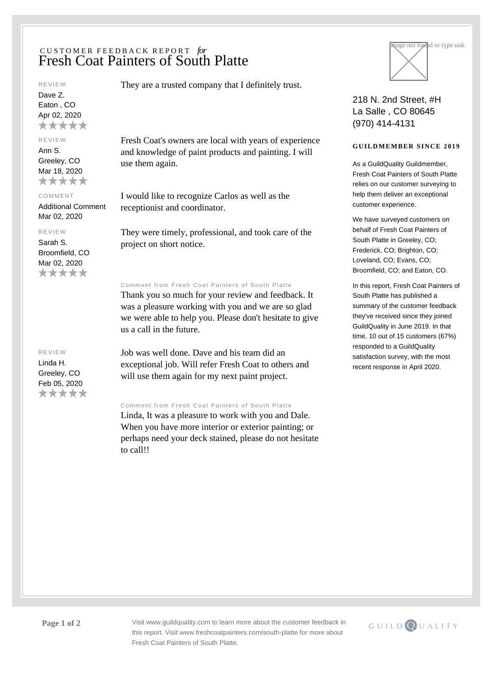# CUSTOMER FEEDBACK REPORT *for* Fresh Coat Painters of South Platte

#### REVIEW

Dave Z. Eaton , CO Apr 02, 2020 \*\*\*\*\*

### REVIEW

Ann S. Greeley, CO Mar 18, 2020 \*\*\*\*\*

#### COMMENT

Additional Comment Mar 02, 2020

# REVIEW

Sarah S. Broomfield, CO Mar 02, 2020 \*\*\*\*\*

## REVIEW

Linda H. Greeley, CO Feb 05, 2020 \*\*\*\*\* They are a trusted company that I definitely trust.

Fresh Coat's owners are local with years of experience and knowledge of paint products and painting. I will use them again.

I would like to recognize Carlos as well as the receptionist and coordinator.

They were timely, professional, and took care of the project on short notice.

### Comment from Fresh Coat Painters of South Platte

Thank you so much for your review and feedback. It was a pleasure working with you and we are so glad we were able to help you. Please don't hesitate to give us a call in the future.

Job was well done. Dave and his team did an exceptional job. Will refer Fresh Coat to others and will use them again for my next paint project.

## Comment from Fresh Coat Painters of South Platte

Linda, It was a pleasure to work with you and Dale. When you have more interior or exterior painting; or perhaps need your deck stained, please do not hesitate to call!!



218 N. 2nd Street, #H La Salle , CO 80645 (970) 414-4131

## **GUILDMEMBER SINCE 2019**

As a GuildQuality Guildmember, Fresh Coat Painters of South Platte relies on our customer surveying to help them deliver an exceptional customer experience.

We have surveyed customers on behalf of Fresh Coat Painters of South Platte in Greeley, CO; Frederick, CO; Brighton, CO; Loveland, CO; Evans, CO; Broomfield, CO; and Eaton, CO.

In this report, Fresh Coat Painters of South Platte has published a summary of the customer feedback they've received since they joined GuildQuality in June 2019. In that time, 10 out of 15 customers (67%) responded to a GuildQuality satisfaction survey, with the most recent response in April 2020.

**Page 1 of 2** Visit www.guildquality.com to learn more about the customer feedback in this report. Visit www.freshcoatpainters.com/south-platte for more about Fresh Coat Painters of South Platte.